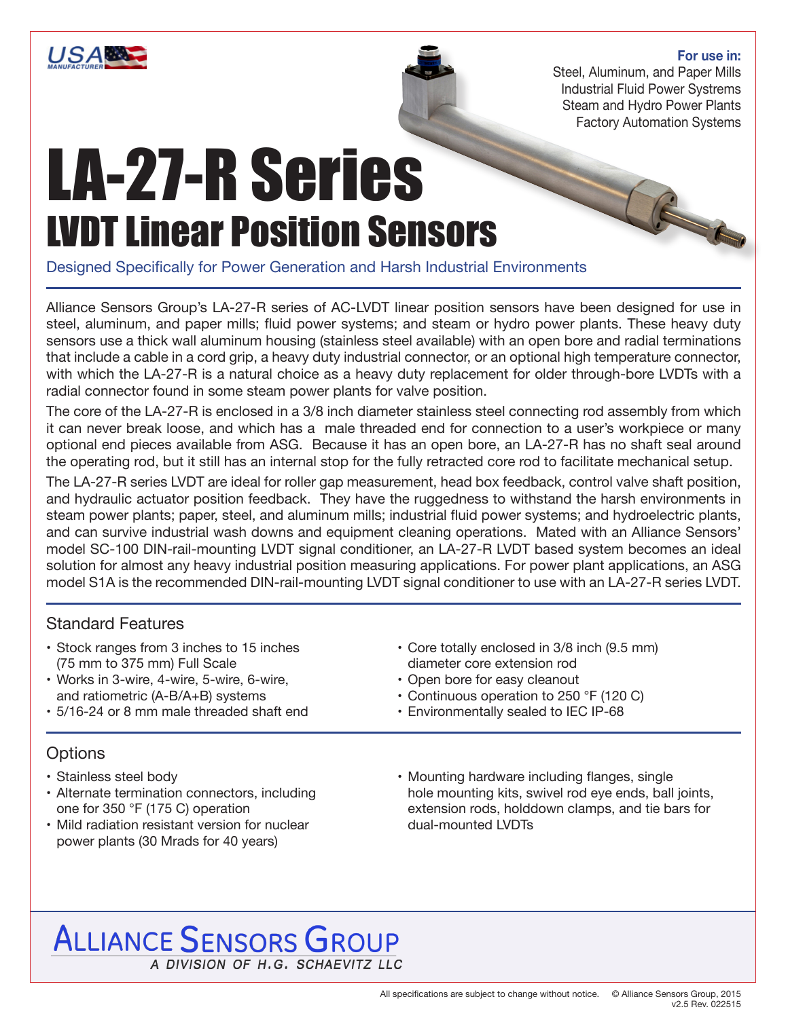

#### **For use in:**

R

Steel, Aluminum, and Paper Mills Industrial Fluid Power Systrems Steam and Hydro Power Plants Factory Automation Systems

# LA-27-R Series LVDT Linear Position Sensors

Designed Specifically for Power Generation and Harsh Industrial Environments

Alliance Sensors Group's LA-27-R series of AC-LVDT linear position sensors have been designed for use in steel, aluminum, and paper mills; fluid power systems; and steam or hydro power plants. These heavy duty sensors use a thick wall aluminum housing (stainless steel available) with an open bore and radial terminations that include a cable in a cord grip, a heavy duty industrial connector, or an optional high temperature connector, with which the LA-27-R is a natural choice as a heavy duty replacement for older through-bore LVDTs with a radial connector found in some steam power plants for valve position.

The core of the LA-27-R is enclosed in a 3/8 inch diameter stainless steel connecting rod assembly from which it can never break loose, and which has a male threaded end for connection to a user's workpiece or many optional end pieces available from ASG. Because it has an open bore, an LA-27-R has no shaft seal around the operating rod, but it still has an internal stop for the fully retracted core rod to facilitate mechanical setup.

The LA-27-R series LVDT are ideal for roller gap measurement, head box feedback, control valve shaft position, and hydraulic actuator position feedback. They have the ruggedness to withstand the harsh environments in steam power plants; paper, steel, and aluminum mills; industrial fluid power systems; and hydroelectric plants, and can survive industrial wash downs and equipment cleaning operations. Mated with an Alliance Sensors' model SC-100 DIN-rail-mounting LVDT signal conditioner, an LA-27-R LVDT based system becomes an ideal solution for almost any heavy industrial position measuring applications. For power plant applications, an ASG model S1A is the recommended DIN-rail-mounting LVDT signal conditioner to use with an LA-27-R series LVDT.

### Standard Features

- Stock ranges from 3 inches to 15 inches (75 mm to 375 mm) Full Scale
- Works in 3-wire, 4-wire, 5-wire, 6-wire, and ratiometric (A-B/A+B) systems
- 5/16-24 or 8 mm male threaded shaft end
- Core totally enclosed in 3/8 inch (9.5 mm) diameter core extension rod
- Open bore for easy cleanout
- Continuous operation to 250 °F (120 C)
- Environmentally sealed to IEC IP-68

# **Options**

- Stainless steel body
- Alternate termination connectors, including one for 350 °F (175 C) operation
- Mild radiation resistant version for nuclear power plants (30 Mrads for 40 years)
- Mounting hardware including flanges, single hole mounting kits, swivel rod eye ends, ball joints, extension rods, holddown clamps, and tie bars for dual-mounted LVDTs

# **ALLIANCE SENSORS GROUP** A DIVISION OF H.G. SCHAEVITZ LLC